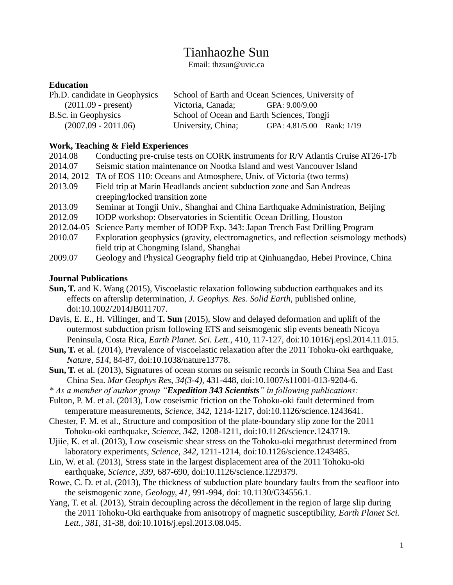# Tianhaozhe Sun

Email: [thzsun@uvic.ca](mailto:thzsun@uvic.ca)

### **Education**

| Ph.D. candidate in Geophysics | School of Earth and Ocean Sciences, University of |                           |  |
|-------------------------------|---------------------------------------------------|---------------------------|--|
| $(2011.09 - present)$         | Victoria, Canada;                                 | GPA: 9.00/9.00            |  |
| B.Sc. in Geophysics           | School of Ocean and Earth Sciences, Tongji        |                           |  |
| $(2007.09 - 2011.06)$         | University, China;                                | GPA: 4.81/5.00 Rank: 1/19 |  |

#### **Work, Teaching & Field Experiences**

| 2014.08 | Conducting pre-cruise tests on CORK instruments for R/V Atlantis Cruise AT26-17b      |
|---------|---------------------------------------------------------------------------------------|
| 2014.07 | Seismic station maintenance on Nootka Island and west Vancouver Island                |
|         | 2014, 2012 TA of EOS 110: Oceans and Atmosphere, Univ. of Victoria (two terms)        |
| 2013.09 | Field trip at Marin Headlands ancient subduction zone and San Andreas                 |
|         | creeping/locked transition zone                                                       |
| 2013.09 | Seminar at Tongji Univ., Shanghai and China Earthquake Administration, Beijing        |
| 2012.09 | IODP workshop: Observatories in Scientific Ocean Drilling, Houston                    |
|         | 2012.04-05 Science Party member of IODP Exp. 343: Japan Trench Fast Drilling Program  |
| 2010.07 | Exploration geophysics (gravity, electromagnetics, and reflection seismology methods) |
|         | field trip at Chongming Island, Shanghai                                              |
| 2009.07 | Geology and Physical Geography field trip at Qinhuangdao, Hebei Province, China       |

# **Journal Publications**

- **Sun, T.** and K. Wang (2015), Viscoelastic relaxation following subduction earthquakes and its effects on afterslip determination, *J. Geophys. Res. Solid Earth*, published online, doi:10.1002/2014JB011707.
- Davis, E. E., H. Villinger, and **T. Sun** (2015), Slow and delayed deformation and uplift of the outermost subduction prism following ETS and seismogenic slip events beneath Nicoya Peninsula, Costa Rica, *Earth Planet. Sci. Lett.*, 410, 117-127, doi:10.1016/j.epsl.2014.11.015.
- **Sun, T.** et al. (2014), Prevalence of viscoelastic relaxation after the 2011 Tohoku-oki earthquake, *Nature*, *514*, 84-87, doi:10.1038/nature13778.
- **Sun, T.** et al. (2013), Signatures of ocean storms on seismic records in South China Sea and East China Sea. *Mar Geophys Res, 34(3-4),* 431-448, doi:10.1007/s11001-013-9204-6.
- *\* As a member of author group "Expedition 343 Scientists" in following publications:*
- Fulton, P. M. et al. (2013), Low coseismic friction on the Tohoku-oki fault determined from temperature measurements, *Science*, 342, 1214-1217, doi:10.1126/science.1243641.
- Chester, F. M. et al., Structure and composition of the plate-boundary slip zone for the 2011 Tohoku-oki earthquake, *Science, 342*, 1208-1211, doi:10.1126/science.1243719.
- Ujiie, K. et al. (2013), Low coseismic shear stress on the Tohoku-oki megathrust determined from laboratory experiments, *Science, 342*, 1211-1214, doi:10.1126/science.1243485.
- Lin, W. et al. (2013), Stress state in the largest displacement area of the 2011 Tohoku-oki earthquake, *Science, 339*, 687-690, doi:10.1126/science.1229379.
- Rowe, C. D. et al. (2013), The thickness of subduction plate boundary faults from the seafloor into the seismogenic zone, *Geology, 41,* 991-994*,* doi: 10.1130/G34556.1.
- Yang, T. et al. (2013), Strain decoupling across the décollement in the region of large slip during the 2011 Tohoku-Oki earthquake from anisotropy of magnetic susceptibility, *Earth Planet Sci. Lett., 381*, 31-38, doi:10.1016/j.epsl.2013.08.045.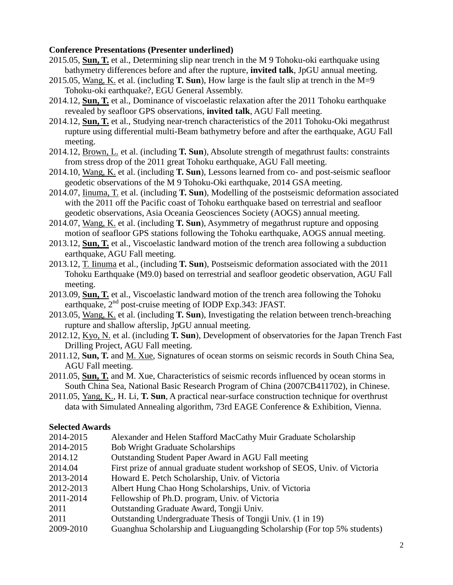#### **Conference Presentations (Presenter underlined)**

- 2015.05, **Sun, T.** et al., Determining slip near trench in the M 9 Tohoku-oki earthquake using bathymetry differences before and after the rupture, **invited talk**, JpGU annual meeting.
- 2015.05, Wang, K. et al. (including **T. Sun**), How large is the fault slip at trench in the M=9 Tohoku-oki earthquake?, EGU General Assembly.
- 2014.12, **Sun, T.** et al., Dominance of viscoelastic relaxation after the 2011 Tohoku earthquake revealed by seafloor GPS observations, **invited talk**, AGU Fall meeting.
- 2014.12, **Sun, T.** et al., Studying near-trench characteristics of the 2011 Tohoku-Oki megathrust rupture using differential multi-Beam bathymetry before and after the earthquake, AGU Fall meeting.
- 2014.12, Brown, L. et al. (including **T. Sun**), Absolute strength of megathrust faults: constraints from stress drop of the 2011 great Tohoku earthquake, AGU Fall meeting.
- 2014.10, Wang, K. et al. (including **T. Sun**), Lessons learned from co- and post-seismic seafloor geodetic observations of the M 9 Tohoku-Oki earthquake, 2014 GSA meeting.
- 2014.07, Iinuma, T. et al. (including **T. Sun**), Modelling of the postseismic deformation associated with the 2011 off the Pacific coast of Tohoku earthquake based on terrestrial and seafloor geodetic observations, Asia Oceania Geosciences Society (AOGS) annual meeting.
- 2014.07, Wang, K. et al. (including **T. Sun**), Asymmetry of megathrust rupture and opposing motion of seafloor GPS stations following the Tohoku earthquake, AOGS annual meeting.
- 2013.12, **Sun, T.** et al., Viscoelastic landward motion of the trench area following a subduction earthquake, AGU Fall meeting.
- 2013.12, T. Iinuma et al., (including **T. Sun**), Postseismic deformation associated with the 2011 Tohoku Earthquake (M9.0) based on terrestrial and seafloor geodetic observation, AGU Fall meeting.
- 2013.09, **Sun, T.** et al., Viscoelastic landward motion of the trench area following the Tohoku earthquake, 2<sup>nd</sup> post-cruise meeting of IODP Exp.343: JFAST.
- 2013.05, Wang, K. et al. (including **T. Sun**), Investigating the relation between trench-breaching rupture and shallow afterslip, JpGU annual meeting.
- 2012.12, Kyo, N. et al. (including **T. Sun**), Development of observatories for the Japan Trench Fast Drilling Project, AGU Fall meeting.
- 2011.12, **Sun, T.** and M. Xue, Signatures of ocean storms on seismic records in South China Sea, AGU Fall meeting.
- 2011.05, **Sun, T.** and M. Xue, Characteristics of seismic records influenced by ocean storms in South China Sea, National Basic Research Program of China (2007CB411702), in Chinese.
- 2011.05, Yang, K., H. Li, **T. Sun**, A practical near-surface construction technique for overthrust data with Simulated Annealing algorithm, 73rd EAGE Conference & Exhibition, Vienna.

# **Selected Awards**

- 2014-2015 Alexander and Helen Stafford MacCathy Muir Graduate Scholarship
- 2014-2015 Bob Wright Graduate Scholarships
- 2014.12 Outstanding Student Paper Award in AGU Fall meeting
- 2014.04 First prize of annual graduate student workshop of SEOS, Univ. of Victoria
- 2013-2014 Howard E. Petch Scholarship, Univ. of Victoria
- 2012-2013 Albert Hung Chao Hong Scholarships, Univ. of Victoria
- 2011-2014 Fellowship of Ph.D. program, Univ. of Victoria
- 2011 Outstanding Graduate Award, Tongji Univ.
- 2011 Outstanding Undergraduate Thesis of Tongji Univ. (1 in 19)
- 2009-2010 Guanghua Scholarship and Liuguangding Scholarship (For top 5% students)